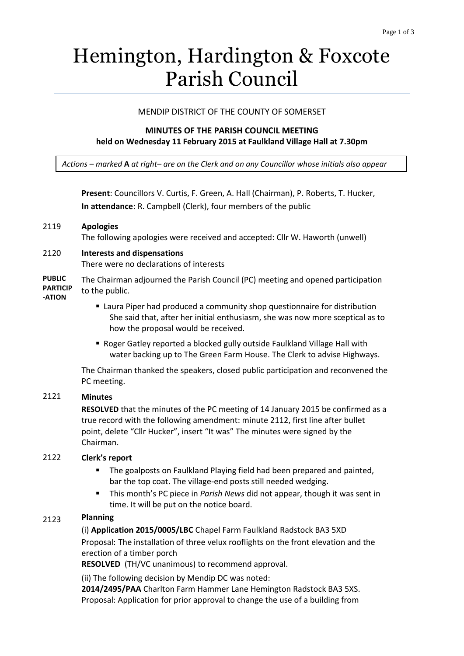# Hemington, Hardington & Foxcote Parish Council

## MENDIP DISTRICT OF THE COUNTY OF SOMERSET

## **MINUTES OF THE PARISH COUNCIL MEETING held on Wednesday 11 February 2015 at Faulkland Village Hall at 7.30pm**

*Actions – marked* **A** *at right– are on the Clerk and on any Councillor whose initials also appear*

**Present**: Councillors V. Curtis, F. Green, A. Hall (Chairman), P. Roberts, T. Hucker, **In attendance**: R. Campbell (Clerk), four members of the public

#### 2119 **Apologies**

The following apologies were received and accepted: Cllr W. Haworth (unwell)

# 2120 **Interests and dispensations**

There were no declarations of interests

**PUBLIC PARTICIP -ATION** The Chairman adjourned the Parish Council (PC) meeting and opened participation to the public.

### Laura Piper had produced a community shop questionnaire for distribution She said that, after her initial enthusiasm, she was now more sceptical as to how the proposal would be received.

■ Roger Gatley reported a blocked gully outside Faulkland Village Hall with water backing up to The Green Farm House. The Clerk to advise Highways.

The Chairman thanked the speakers, closed public participation and reconvened the PC meeting.

# 2121 **Minutes**

**RESOLVED** that the minutes of the PC meeting of 14 January 2015 be confirmed as a true record with the following amendment: minute 2112, first line after bullet point, delete "Cllr Hucker", insert "It was" The minutes were signed by the Chairman.

#### 2122 **Clerk's report**

- **The goalposts on Faulkland Playing field had been prepared and painted,** bar the top coat. The village-end posts still needed wedging.
- This month's PC piece in *Parish News* did not appear, though it was sent in time. It will be put on the notice board.

#### 2123 **Planning**

(i) **Application 2015/0005/LBC** Chapel Farm Faulkland Radstock BA3 5XD Proposal: The installation of three velux rooflights on the front elevation and the erection of a timber porch

**RESOLVED** (TH/VC unanimous) to recommend approval.

(ii) The following decision by Mendip DC was noted:

**2014/2495/PAA** Charlton Farm Hammer Lane Hemington Radstock BA3 5XS. Proposal: [Application for prior approval to change the use of a building from](http://publicaccess.mendip.gov.uk/online-applications/applicationDetails.do?activeTab=summary&keyVal=NFJLH9KP03300)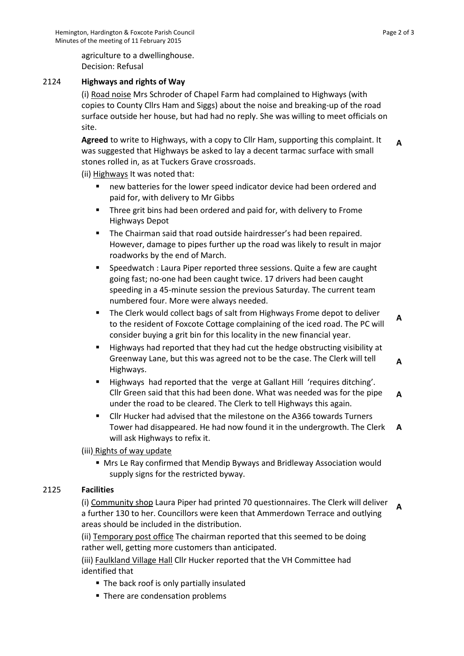agriculture to a [dwellinghouse.](http://publicaccess.mendip.gov.uk/online-applications/applicationDetails.do?activeTab=summary&keyVal=NFJLH9KP03300)  Decision: Refusal

#### 2124 **Highways and rights of Way**

(i) Road noise Mrs Schroder of Chapel Farm had complained to Highways (with copies to County Cllrs Ham and Siggs) about the noise and breaking-up of the road surface outside her house, but had had no reply. She was willing to meet officials on site.

**Agreed** to write to Highways, with a copy to Cllr Ham, supporting this complaint. It was suggested that Highways be asked to lay a decent tarmac surface with small stones rolled in, as at Tuckers Grave crossroads. **A**

(ii) Highways It was noted that:

- new batteries for the lower speed indicator device had been ordered and paid for, with delivery to Mr Gibbs
- **Three grit bins had been ordered and paid for, with delivery to Frome** Highways Depot
- **The Chairman said that road outside hairdresser's had been repaired.** However, damage to pipes further up the road was likely to result in major roadworks by the end of March.
- **Speedwatch : Laura Piper reported three sessions. Quite a few are caught** going fast; no-one had been caught twice. 17 drivers had been caught speeding in a 45-minute session the previous Saturday. The current team numbered four. More were always needed.
- The Clerk would collect bags of salt from Highways Frome depot to deliver to the resident of Foxcote Cottage complaining of the iced road. The PC will consider buying a grit bin for this locality in the new financial year. **A**
- **Highways had reported that they had cut the hedge obstructing visibility at 4** Greenway Lane, but this was agreed not to be the case. The Clerk will tell Highways.
- Highways had reported that the verge at Gallant Hill 'requires ditching'. Cllr Green said that this had been done. What was needed was for the pipe under the road to be cleared. The Clerk to tell Highways this again. **A**
- Cllr Hucker had advised that the milestone on the A366 towards Turners Tower had disappeared. He had now found it in the undergrowth. The Clerk will ask Highways to refix it. **A**

(iii) Rights of way update

 Mrs Le Ray confirmed that Mendip Byways and Bridleway Association would supply signs for the restricted byway.

# 2125 **Facilities**

(i) Community shop Laura Piper had printed 70 questionnaires. The Clerk will deliver a further 130 to her. Councillors were keen that Ammerdown Terrace and outlying areas should be included in the distribution. **A**

(ii) Temporary post office The chairman reported that this seemed to be doing rather well, getting more customers than anticipated.

(iii) Faulkland Village Hall Cllr Hucker reported that the VH Committee had identified that

- The back roof is only partially insulated
- There are condensation problems

**A**